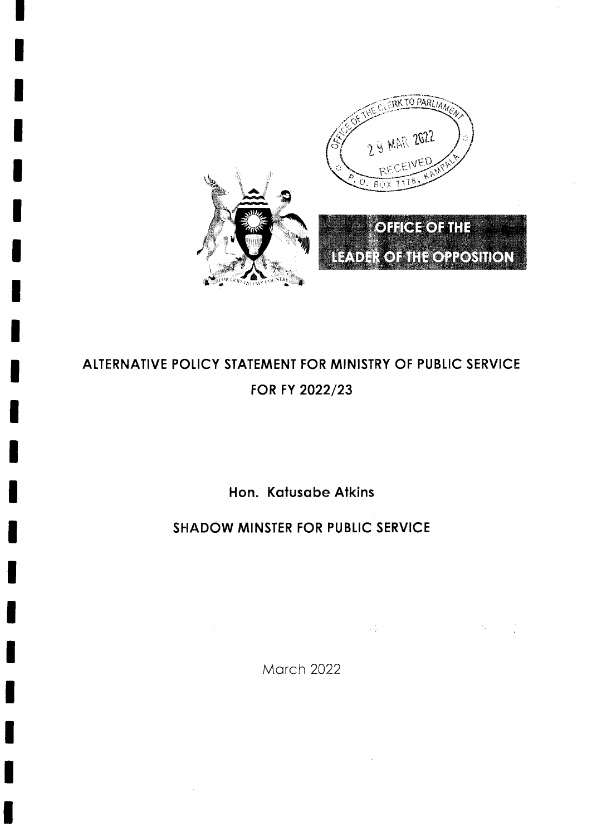

# ALTERNATIVE POLICY STATEMENT FOR MINISTRY OF PUBLIC SERVICE FOR FY 2022/23

Hon. Katusabe Atkins

**SHADOW MINSTER FOR PUBLIC SERVICE** 

**March 2022** 

 $\label{eq:2.1} \frac{1}{2}\sum_{i=1}^N\left(\frac{1}{2}\left(\frac{1}{2}\right)^2\right)^2\left(\frac{1}{2}\left(\frac{1}{2}\right)^2\right)^2\left(\frac{1}{2}\right)^2\left(\frac{1}{2}\right)^2\left(\frac{1}{2}\right)^2\left(\frac{1}{2}\right)^2.$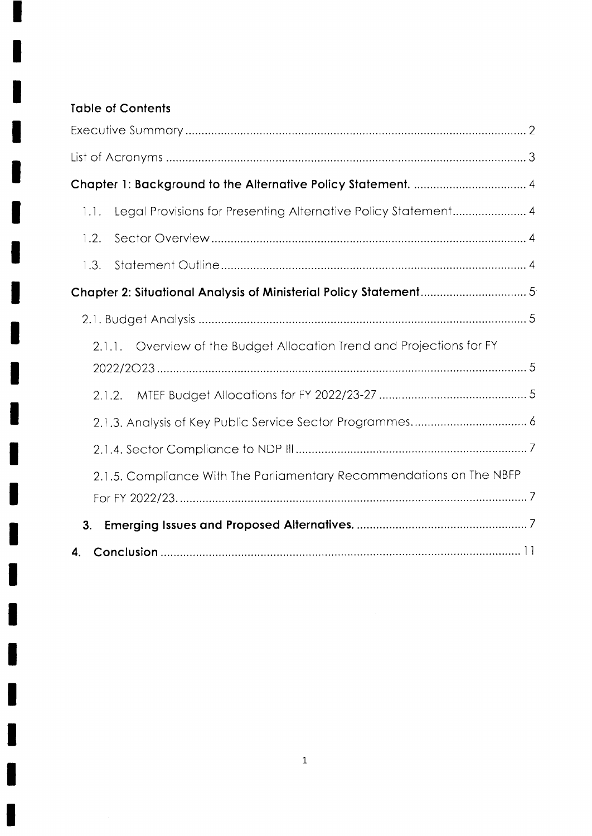# **Table of Contents**

H

I

| Legal Provisions for Presenting Alternative Policy Statement 4<br>1.1. |
|------------------------------------------------------------------------|
| 1.2.                                                                   |
| 1.3.                                                                   |
|                                                                        |
|                                                                        |
| 2.1.1. Overview of the Budget Allocation Trend and Projections for FY  |
| 2.1.2.                                                                 |
|                                                                        |
|                                                                        |
| 2.1.5. Compliance With The Parliamentary Recommendations on The NBFP   |
|                                                                        |
| 3.                                                                     |
| 4.                                                                     |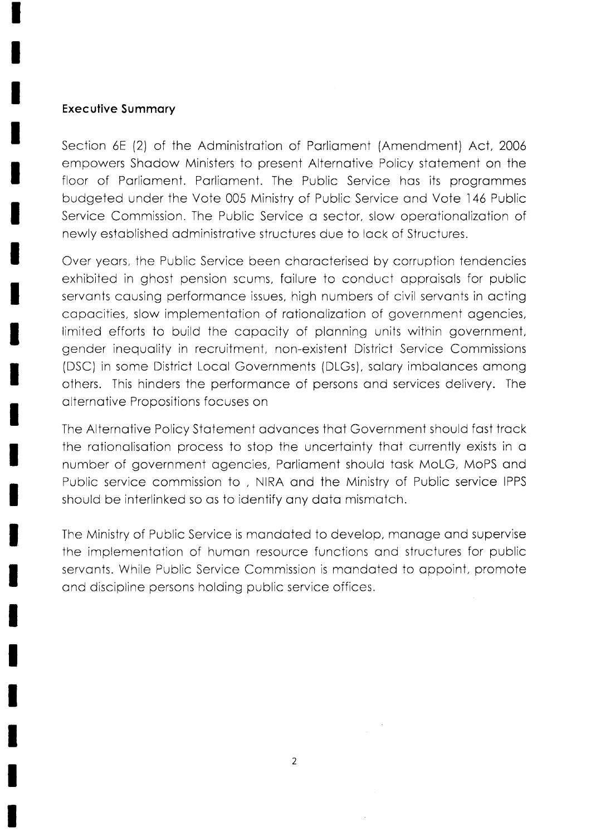#### **Executive Summary**

Section 6E (2) of the Administration of Parliament (Amendment) Act, 2006 empowers Shadow Ministers to present Alternative Policy statement on the floor of Parliament. Parliament. The Public Service has its programmes budgeted under the Vote 005 Ministry of Public Service and Vote 146 Public Service Commission. The Public Service a sector, slow operationalization of newly established administrative structures due to lack of Structures.

Over years, the Public Service been characterised by corruption tendencies exhibited in ghost pension scums, failure to conduct appraisals for public servants causing performance issues, high numbers of civil servants in acting capacities, slow implementation of rationalization of government agencies, limited efforts to build the capacity of planning units within government, gender inequality in recruitment, non-existent District Service Commissions (DSC) in some District Local Governments (DLGs), salary imbalances among others. This hinders the performance of persons and services delivery. The alternative Propositions focuses on

The Alternative Policy Statement advances that Government should fast track the rationalisation process to stop the uncertainty that currently exists in a number of government agencies, Parliament should task MoLG, MoPS and Public service commission to, NIRA and the Ministry of Public service IPPS should be interlinked so as to identify any data mismatch.

The Ministry of Public Service is mandated to develop, manage and supervise the implementation of human resource functions and structures for public servants. While Public Service Commission is mandated to appoint, promote and discipline persons holding public service offices.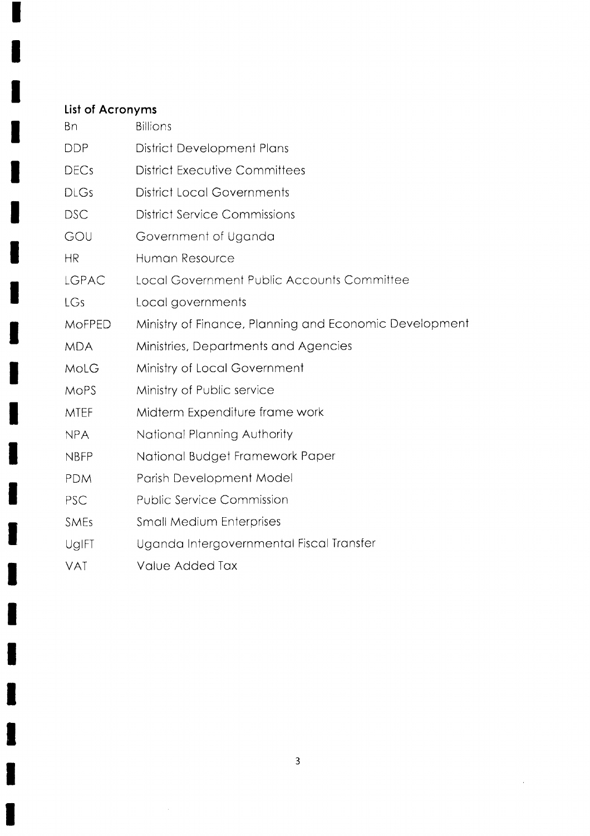# List of Acronyms

I

| Bn            | <b>Billions</b>                                        |
|---------------|--------------------------------------------------------|
| <b>DDP</b>    | District Development Plans                             |
| <b>DECs</b>   | <b>District Executive Committees</b>                   |
| <b>DLGs</b>   | <b>District Local Governments</b>                      |
| <b>DSC</b>    | <b>District Service Commissions</b>                    |
| GOU           | Government of Uganda                                   |
| <b>HR</b>     | Human Resource                                         |
| LGPAC         | Local Government Public Accounts Committee             |
| LGs           | Local governments                                      |
| <b>MOFPED</b> | Ministry of Finance, Planning and Economic Development |
| <b>MDA</b>    | Ministries, Departments and Agencies                   |
| MoLG          | Ministry of Local Government                           |
| <b>MOPS</b>   | Ministry of Public service                             |
| <b>MTEF</b>   | Midterm Expenditure frame work                         |
| <b>NPA</b>    | National Planning Authority                            |
| <b>NBFP</b>   | National Budget Framework Paper                        |
| <b>PDM</b>    | Parish Development Model                               |
| PSC           | <b>Public Service Commission</b>                       |
| <b>SMEs</b>   | <b>Small Medium Enterprises</b>                        |
| UgIFT         | Uganda Intergovernmental Fiscal Transfer               |
| <b>VAT</b>    | Value Added Tax                                        |

 $\overline{3}$ 

 $\sim$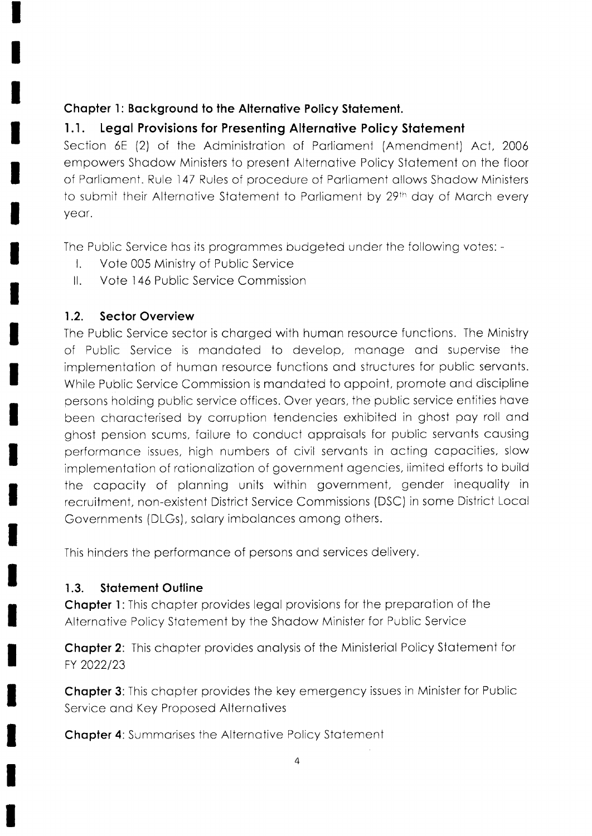# Chapter 1: Background to the Alternative Policy Statement.

#### Legal Provisions for Presenting Alternative Policy Statement  $1.1.$

Section 6E (2) of the Administration of Parliament (Amendment) Act, 2006 empowers Shadow Ministers to present Alternative Policy Statement on the floor of Parliament. Rule 147 Rules of procedure of Parliament allows Shadow Ministers to submit their Alternative Statement to Parliament by 29th day of March every year.

The Public Service has its programmes budgeted under the following votes: -

- Vote 005 Ministry of Public Service  $\mathbf{L}$
- $\parallel$ . Vote 146 Public Service Commission

#### $1.2.$ **Sector Overview**

The Public Service sector is charged with human resource functions. The Ministry of Public Service is mandated to develop, manage and supervise the implementation of human resource functions and structures for public servants. While Public Service Commission is mandated to appoint, promote and discipline persons holding public service offices. Over years, the public service entities have been characterised by corruption tendencies exhibited in ghost pay roll and ghost pension scums, failure to conduct appraisals for public servants causing performance issues, high numbers of civil servants in acting capacities, slow implementation of rationalization of government agencies, limited efforts to build the capacity of planning units within government, gender inequality in recruitment, non-existent District Service Commissions (DSC) in some District Local Governments (DLGs), salary imbalances among others.

This hinders the performance of persons and services delivery.

#### $1.3.$ **Statement Outline**

**Chapter 1:** This chapter provides legal provisions for the preparation of the Alternative Policy Statement by the Shadow Minister for Public Service

**Chapter 2:** This chapter provides analysis of the Ministerial Policy Statement for FY 2022/23

**Chapter 3:** This chapter provides the key emergency issues in Minister for Public Service and Key Proposed Alternatives

**Chapter 4: Summarises the Alternative Policy Statement**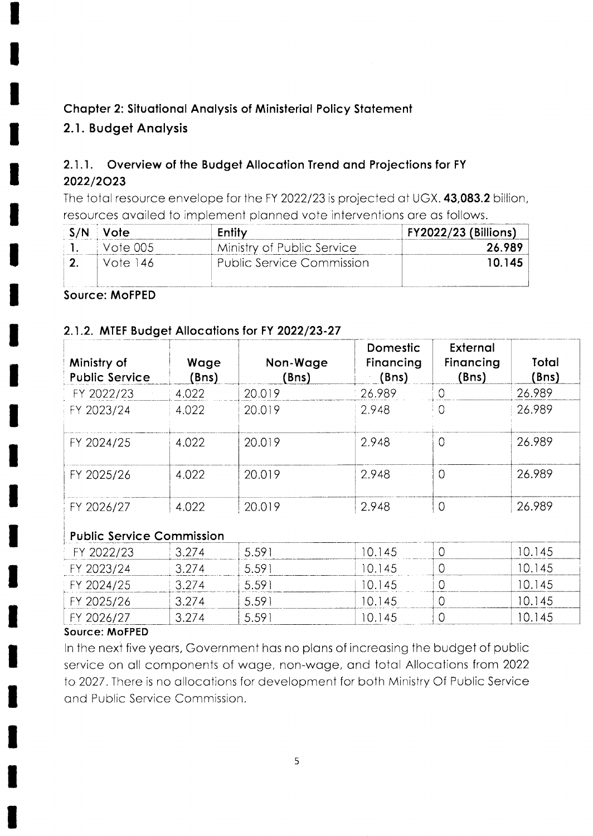# Chapter 2: Situational Analysis of Ministerial Policy Statement

# 2.1. Budget Analysis

#### $2.1.1.$ Overview of the Budget Allocation Trend and Projections for FY 2022/2023

The total resource envelope for the FY 2022/23 is projected at UGX. 43,083.2 billion, resources availed to implement planned vote interventions are as follows.

|                | S/N Vote      | Entity                     | <b>FY2022/23 (Billions)</b> |
|----------------|---------------|----------------------------|-----------------------------|
| $\blacksquare$ | - I Vote 00.5 | Ministry of Public Service | 26.989                      |
|                | Vote 146      | Public Service Commission  | 10.145                      |

### **Source: MoFPED**

# 2.1.2. MTEF Budget Allocations for FY 2022/23-27

| Ministry of<br><b>Public Service</b> | Wage<br>(Bns) | Non-Wage<br>(Bns) | Domestic<br>Financing<br>(Bns) | External<br>Financing<br>(Bns) | Total<br>(Bns) |
|--------------------------------------|---------------|-------------------|--------------------------------|--------------------------------|----------------|
| FY 2022/23                           | 4.022         | 20.019            | 26.989                         | 0                              | 26.989         |
| FY 2023/24                           | 4.022         | 20.019            | 2.948                          | $\Omega$                       | 26.989         |
| FY 2024/25                           | 4.022         | 20.019            | 2.948                          | 0                              | 26.989         |
| FY 2025/26                           | 4.022         | 20.019            | 2.948                          | $\overline{O}$                 | 26.989         |
| FY 2026/27                           | 4.022         | 20.019            | 2.948                          | $\overline{0}$                 | 26.989         |
| <b>Public Sancce Commission</b>      |               |                   |                                |                                |                |

# ilic Service Commission

| FY 2026/27 | 3 27 A | $-5.59$  | 10 145 |        |
|------------|--------|----------|--------|--------|
| FY 2025/26 | 3 27 A | $-5.59$  | 10 145 | 10.145 |
| FY 2024/25 | 3 274  | .5.59 i  | IO 145 | IO 145 |
| FY 2023/24 | 3 274  | $-5.59.$ | 10 145 | (1145  |
| FY 2022/23 | 3.274  | 5.591    | 10 145 | (1145  |

### Source: MoFPED

In the next five years, Government has no plans of increasing the budget of public service on all components of wage, non-wage, and total Allocations from 2022 to 2027. There is no allocations for development for both Ministry Of Public Service and Public Service Commission.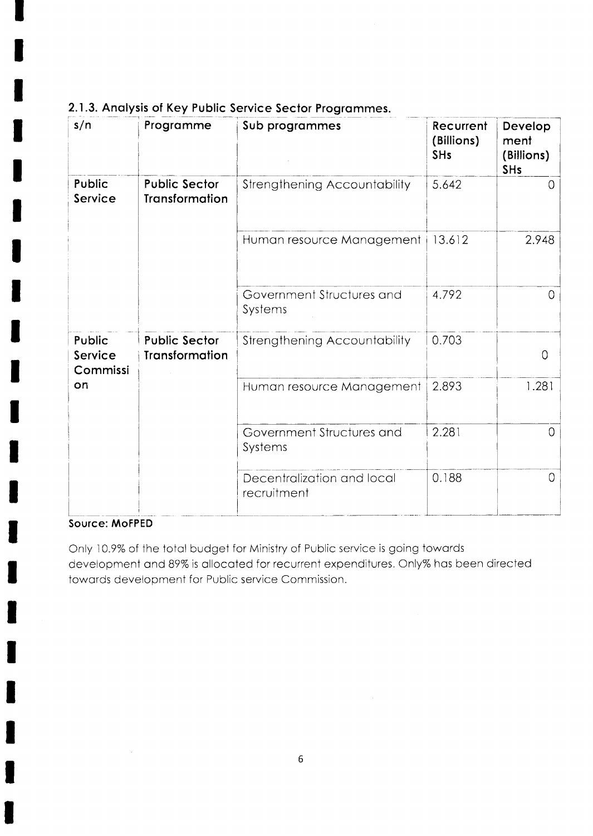| s/n                           | Programme                                     | Sub programmes                            | Recurrent<br>(Billions)<br><b>SHs</b> | Develop<br>ment<br>(Billions)<br><b>SHs</b> |
|-------------------------------|-----------------------------------------------|-------------------------------------------|---------------------------------------|---------------------------------------------|
| Public<br>Service             | <b>Public Sector</b><br><b>Transformation</b> | Strengthening Accountability              | 5.642                                 | O                                           |
|                               |                                               | Human resource Management                 | 13.612                                | 2.948                                       |
|                               |                                               | Government Structures and<br>Systems      | 4.792                                 | $\circ$                                     |
| Public<br>Service<br>Commissi | <b>Public Sector</b><br><b>Transformation</b> | Strengthening Accountability              | 0.703                                 | $\overline{O}$                              |
| on                            |                                               | Human resource Management                 | 2.893                                 | 1.281                                       |
|                               |                                               | Government Structures and<br>Systems      | 2.281                                 | O                                           |
|                               |                                               | Decentralization and local<br>recruitment | 0.188                                 | $\overline{0}$                              |

# 2.1.3. Analysis of Key Public Service Sector Programmes.

#### Source: MoFPED

Only 10.9% of the total budget for Ministry of Public service is going towards development and 89% is allocated for recurrent expenditures. Only% has been directed towards development for Public service Commission.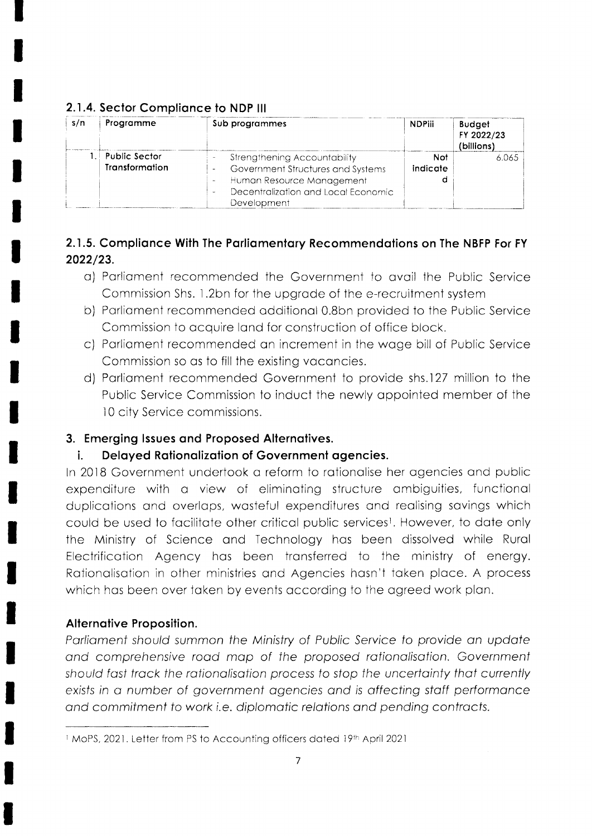| s/n | Programme                                          | Sub programmes                                                                                                                                       | <b>NDPiii</b>   | <b>Budget</b><br>FY 2022/23<br>(billions) |
|-----|----------------------------------------------------|------------------------------------------------------------------------------------------------------------------------------------------------------|-----------------|-------------------------------------------|
|     | $\mathord{\vdash}$ Public Sector<br>Transformation | Strengthening Accountability<br>Government Structures and Systems<br>Human Resource Management<br>Decentralization and Local Fconomic<br>Development | Not<br>indicate | 6.065                                     |

### 2.1.4. Sector Compliance to NDP III

# 2.1.5. Compliance With The Parliamentary Recommendations on The NBFP For FY 2022/23.

- a) Parliament recommended the Government to avail the Public Service Commission Shs. 1.2bn for the upgrade of the e-recruitment system
- b) Parliament recommended additional 0.8bn provided to the Public Service Commission to acquire land for construction of office block.
- c) Parliament recommended an increment in the wage bill of Public Service Commission so as to fill the existing vacancies.
- d) Parliament recommended Government to provide shs.127 million to the Public Service Commission to induct the newly appointed member of the 10 city Service commissions.

# 3. Emerging Issues and Proposed Alternatives.

#### Delayed Rationalization of Government agencies. i.

In 2018 Government undertook a reform to rationalise her agencies and public expenditure with a view of eliminating structure ambiguities, functional duplications and overlaps, wasteful expenditures and realising savings which could be used to facilitate other critical public services<sup>1</sup>. However, to date only the Ministry of Science and Technology has been dissolved while Rural Electrification Agency has been transferred to the ministry of energy. Rationalisation in other ministries and Agencies hasn't taken place. A process which has been over taken by events according to the agreed work plan.

# Alternative Proposition.

Parliament should summon the Ministry of Public Service to provide an update and comprehensive road map of the proposed rationalisation. Government should fast track the rationalisation process to stop the uncertainty that currently exists in a number of government agencies and is affecting staff performance and commitment to work i.e. diplomatic relations and pending contracts.

<sup>1</sup> MoPS, 2021. Letter from PS to Accounting officers dated 19th April 2021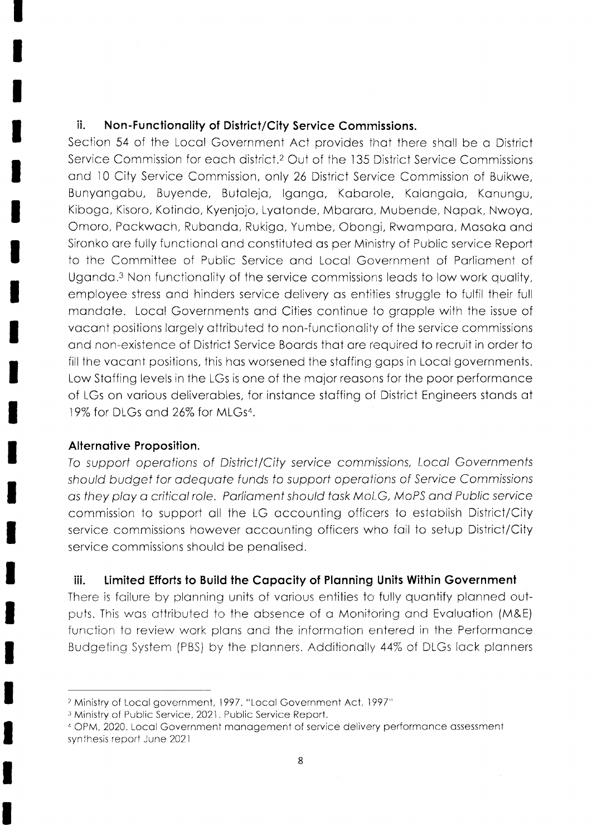### ii. Non-Functionality of District/City Service Commissions.

Section 54 of the Local Government Act provides that there shall be a District Service Commission for each district.<sup>2</sup> Out of the 135 District Service Commissions and 10 City Service Commission, only 26 District Service Commission of Buikwe, Bunyongobu, Buyende. Butolejo, lgongo, Koborole, Kolongolo, Konungu, Kibogo, Kisoro, Kotindo, Kyenjojo, Lyotonde, Mbororo, Mubende, Nopok, Nwoyo, Omoro, Packwach, Rubanda, Rukiga, Yumbe, Obongi, Rwampara, Masaka and Sironko are fully functional and constituted as per Ministry of Public service Report to the Committee of Public Service ond Locol Government of Porlioment of Uganda.<sup>3</sup> Non functionality of the service commissions leads to low work quality, employee stress ond hinders service delivery os entilies struggle io fulfil their full mandate. Local Governments and Cities continue to grapple with the issue of vacant positions largely attributed to non-functionality of the service commissions ond non-existence of District Service Boords thot ore required to recruit in order to fill the vacant positions, this has worsened the staffing gaps in Local governments. Low Stoffing levels in the LGs is one of the mojor reosons for the poor performonce of LGs on various deliverables, for instance staffing of District Engineers stands at 19% for DLGs and 26% for MLGs<sup>4</sup>.

#### Alternotive Proposition.

To support operations of District/City service commissions, Local Governments should budget for adequate funds to support operations of Service Commissions as they play a critical role. Parliament should task MoLG, MoPS and Public service commission to support oll the LG occounting officers io estoblish District/City service commissions however accounting officers who fail to setup District/City service commissions should be penalised.

### iii. Limited Efforts fo Build the Copocity of Plonning Units Within Government

There is failure by planning units of various entities to fully quantify planned outputs. This was attributed to the absence of a Monitoring and Evaluation (M&E) function to review work plans and the information entered in the Performance Budgeting System (PBS) by the plonners. Addiiionoily 44% of DLGs lock plonners

<sup>&</sup>lt;sup>2</sup> Ministry of Local government, 1997. "Local Government Act, 1997"

<sup>&</sup>lt;sup>3</sup> Ministry of Public Service, 2021. Public Service Report.

<sup>1</sup>CPM, 2020. Locol Government monogement of service delivery performcnce ossessment synthesis report June 2021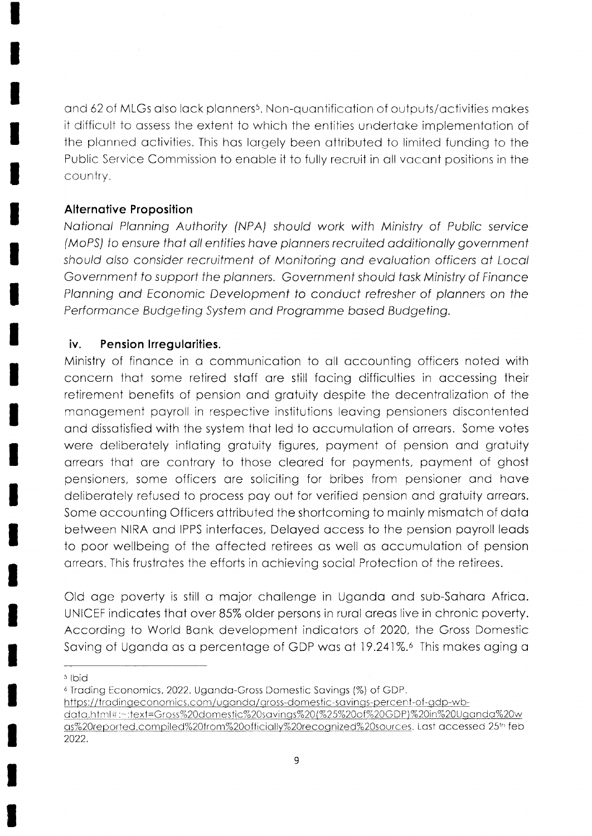and 62 of MLGs also lack planners<sup>5</sup>. Non-quantification of outputs/activities makes it difficult to assess the extent to which the entities undertake implementation of the planned activities. This has largely been attributed to limited funding to the Public Service Commission to enable it to fully recruit in all vacant positions in the country.

### **Alternative Proposition**

National Planning Authority (NPA) should work with Ministry of Public service (MoPS) to ensure that all entities have planners recruited additionally government should also consider recruitment of Monitoring and evaluation officers at Local Government to support the planners. Government should task Ministry of Finance Planning and Economic Development to conduct refresher of planners on the Performance Budgeting System and Programme based Budgeting.

#### iv. Pension Irregularities.

Ministry of finance in a communication to all accounting officers noted with concern that some retired staff are still facing difficulties in accessing their retirement benefits of pension and gratuity despite the decentralization of the management payroll in respective institutions leaving pensioners discontented and dissatisfied with the system that led to accumulation of arrears. Some votes were deliberately inflating gratuity figures, payment of pension and gratuity arrears that are contrary to those cleared for payments, payment of ghost pensioners, some officers are soliciting for bribes from pensioner and have deliberately refused to process pay out for verified pension and gratuity arrears. Some accounting Officers attributed the shortcoming to mainly mismatch of data between NIRA and IPPS interfaces, Delayed access to the pension payroll leads to poor wellbeing of the affected retirees as well as accumulation of pension arrears. This frustrates the efforts in achieving social Protection of the retirees.

Old age poverty is still a major challenge in Uganda and sub-Sahara Africa. UNICEF indicates that over 85% older persons in rural areas live in chronic poverty. According to World Bank development indicators of 2020, the Gross Domestic Saving of Uganda as a percentage of GDP was at 19.241%. This makes aging a

<sup>5</sup> Ibid

<sup>6</sup> Trading Economics, 2022. Uganda-Gross Domestic Savings (%) of GDP.

https://tradingeconomics.com/uganda/gross-domestic-savings-percent-of-gdp-wb-

data.html#:~:text=Gross%20domestic%20savings%20(%25%20of%20GDP)%20in%20Uganda%20w as%20reported.compiled%20from%20officially%20recognized%20sources. Last accessed 25th feb 2022.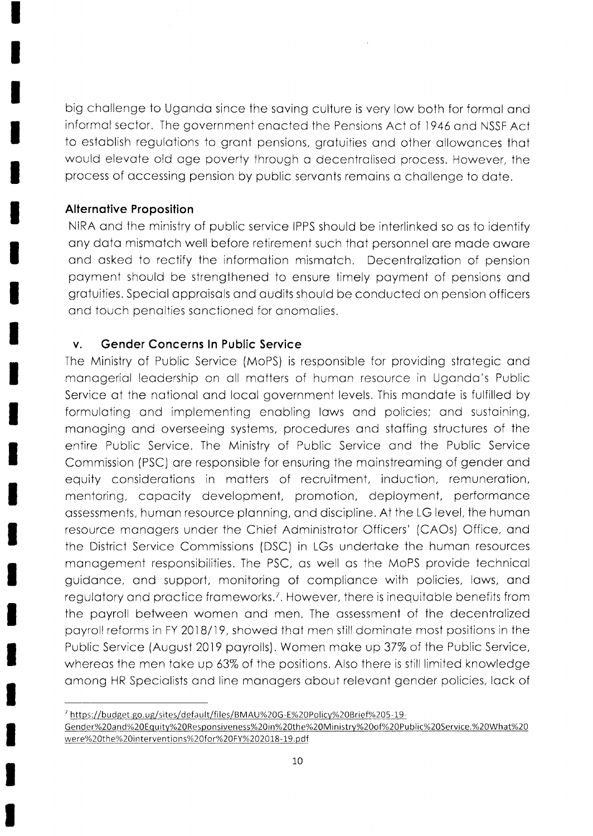big challenge to Uganda since the saving culture is very low both for formal and informal sector. The government enacted the Pensions Act of 1946 and NSSF Act to establish regulations to grant pensions, gratuities and other allowances that would elevate old age poverty through a decentralised process. However, the process of accessing pension by public servants remains a challenge to date.

### **Alternative Proposition**

NIRA and the ministry of public service IPPS should be interlinked so as to identify any data mismatch well before retirement such that personnel are made aware and asked to rectify the information mismatch. Decentralization of pension payment should be strengthened to ensure timely payment of pensions and gratuities. Special appraisals and audits should be conducted on pension officers and touch penalties sanctioned for anomalies.

#### **Gender Concerns In Public Service**  $\mathsf{V}$ .

The Ministry of Public Service (MoPS) is responsible for providing strategic and managerial leadership on all matters of human resource in Uganda's Public Service at the national and local government levels. This mandate is fulfilled by formulating and implementing enabling laws and policies; and sustaining, managing and overseeing systems, procedures and staffing structures of the entire Public Service. The Ministry of Public Service and the Public Service Commission (PSC) are responsible for ensuring the mainstreaming of gender and equity considerations in matters of recruitment, induction, remuneration, mentoring, capacity development, promotion, deployment, performance assessments, human resource planning, and discipline. At the LG level, the human resource managers under the Chief Administrator Officers' (CAOs) Office, and the District Service Commissions (DSC) in LGs undertake the human resources management responsibilities. The PSC, as well as the MoPS provide technical guidance, and support, monitoring of compliance with policies, laws, and regulatory and practice frameworks.<sup>7</sup>. However, there is inequitable benefits from the payroll between women and men. The assessment of the decentralized payroll reforms in FY 2018/19, showed that men still dominate most positions in the Public Service (August 2019 payrolls). Women make up 37% of the Public Service, whereas the men take up 63% of the positions. Also there is still limited knowledge among HR Specialists and line managers about relevant gender policies, lack of

https://budget.go.ug/sites/default/files/BMAU%20G-E%20Policy%20Brief%205-19-Gender%20and%20Equity%20Responsiveness%20in%20the%20Ministry%20of%20Public%20Service.%20What%20 were%20the%20interventions%20for%20FY%202018-19.pdf